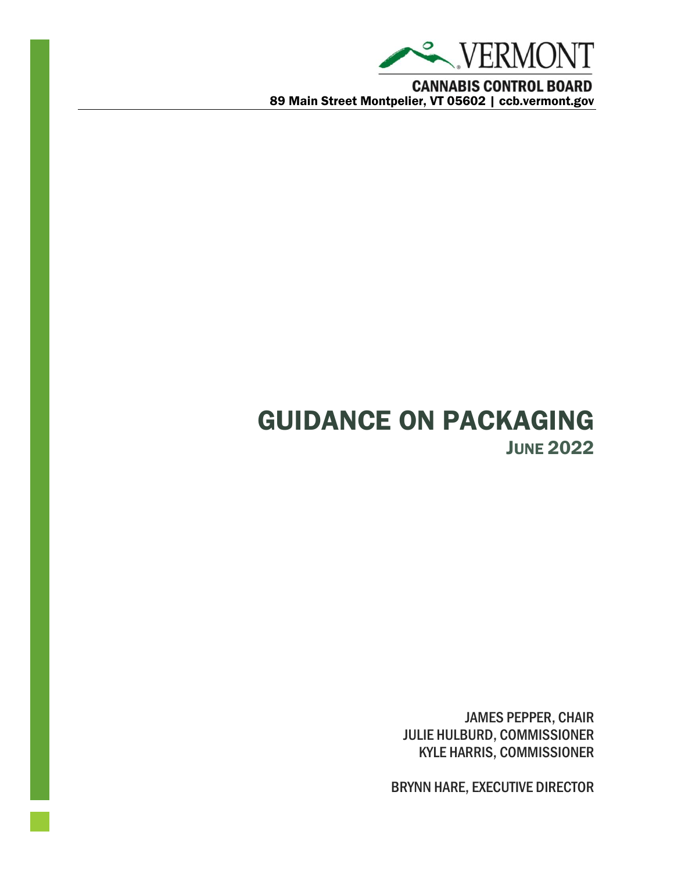

**CANNABIS CONTROL BOARD** 89 Main Street Montpelier, VT 05602 | ccb.vermont.gov

# GUIDANCE ON PACKAGING **JUNE 2022**

JAMES PEPPER, CHAIR JULIE HULBURD, COMMISSIONER KYLE HARRIS, COMMISSIONER

BRYNN HARE, EXECUTIVE DIRECTOR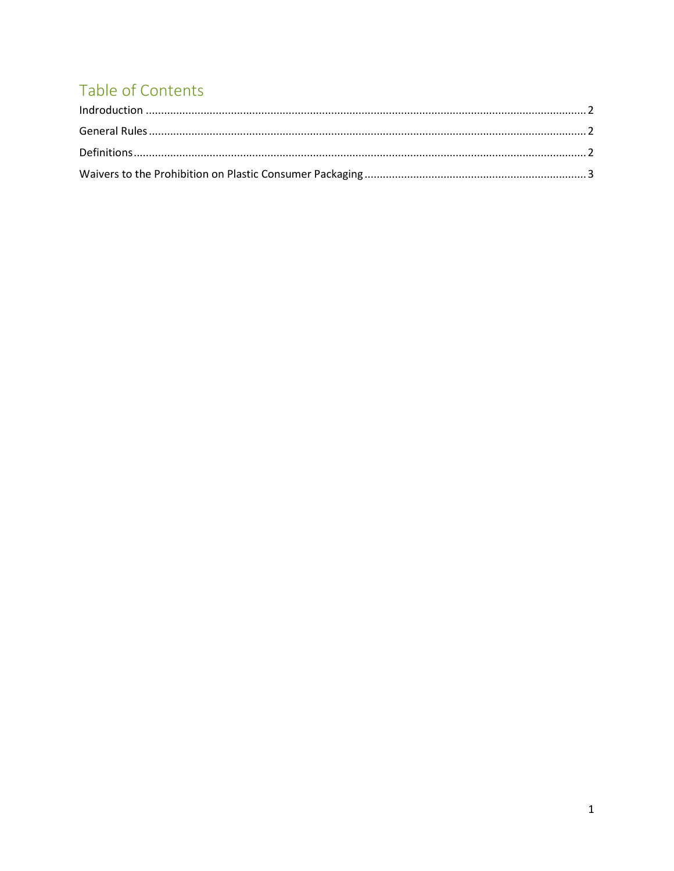## Table of Contents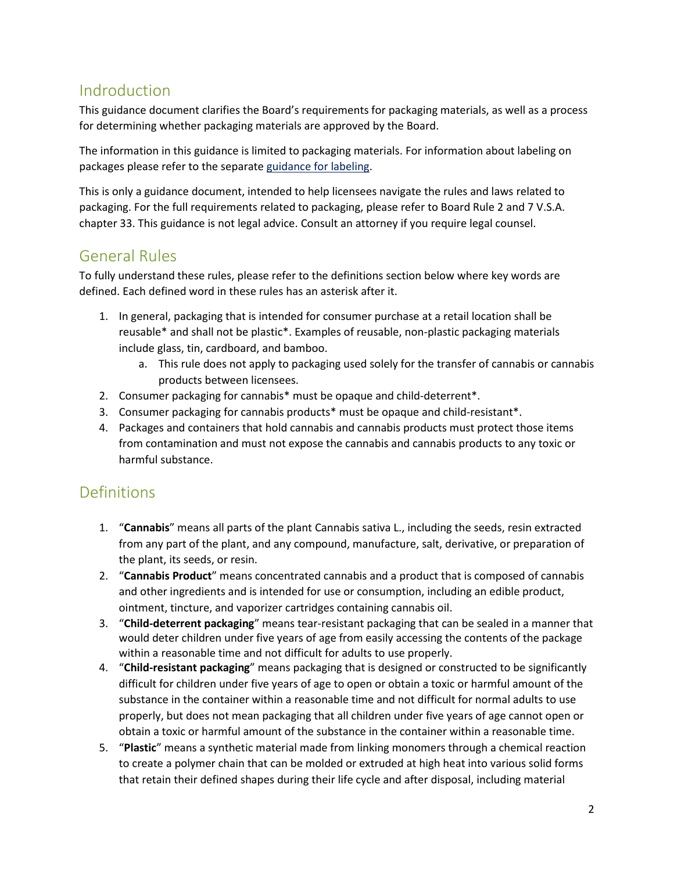## <span id="page-2-0"></span>Indroduction

This guidance document clarifies the Board's requirements for packaging materials, as well as a process for determining whether packaging materials are approved by the Board.

The information in this guidance is limited to packaging materials. For information about labeling on packages please refer to the separate [guidance for labeling.](ccb.vermont.gov/guidance)

This is only a guidance document, intended to help licensees navigate the rules and laws related to packaging. For the full requirements related to packaging, please refer to Board Rule 2 and 7 V.S.A. chapter 33. This guidance is not legal advice. Consult an attorney if you require legal counsel.

## <span id="page-2-1"></span>General Rules

To fully understand these rules, please refer to the definitions section below where key words are defined. Each defined word in these rules has an asterisk after it.

- 1. In general, packaging that is intended for consumer purchase at a retail location shall be reusable\* and shall not be plastic\*. Examples of reusable, non-plastic packaging materials include glass, tin, cardboard, and bamboo.
	- a. This rule does not apply to packaging used solely for the transfer of cannabis or cannabis products between licensees.
- 2. Consumer packaging for cannabis\* must be opaque and child-deterrent\*.
- 3. Consumer packaging for cannabis products\* must be opaque and child-resistant\*.
- 4. Packages and containers that hold cannabis and cannabis products must protect those items from contamination and must not expose the cannabis and cannabis products to any toxic or harmful substance.

#### <span id="page-2-2"></span>Definitions

- 1. "**Cannabis**" means all parts of the plant Cannabis sativa L., including the seeds, resin extracted from any part of the plant, and any compound, manufacture, salt, derivative, or preparation of the plant, its seeds, or resin.
- 2. "**Cannabis Product**" means concentrated cannabis and a product that is composed of cannabis and other ingredients and is intended for use or consumption, including an edible product, ointment, tincture, and vaporizer cartridges containing cannabis oil.
- 3. "**Child-deterrent packaging**" means tear-resistant packaging that can be sealed in a manner that would deter children under five years of age from easily accessing the contents of the package within a reasonable time and not difficult for adults to use properly.
- 4. "**Child-resistant packaging**" means packaging that is designed or constructed to be significantly difficult for children under five years of age to open or obtain a toxic or harmful amount of the substance in the container within a reasonable time and not difficult for normal adults to use properly, but does not mean packaging that all children under five years of age cannot open or obtain a toxic or harmful amount of the substance in the container within a reasonable time.
- 5. "**Plastic**" means a synthetic material made from linking monomers through a chemical reaction to create a polymer chain that can be molded or extruded at high heat into various solid forms that retain their defined shapes during their life cycle and after disposal, including material